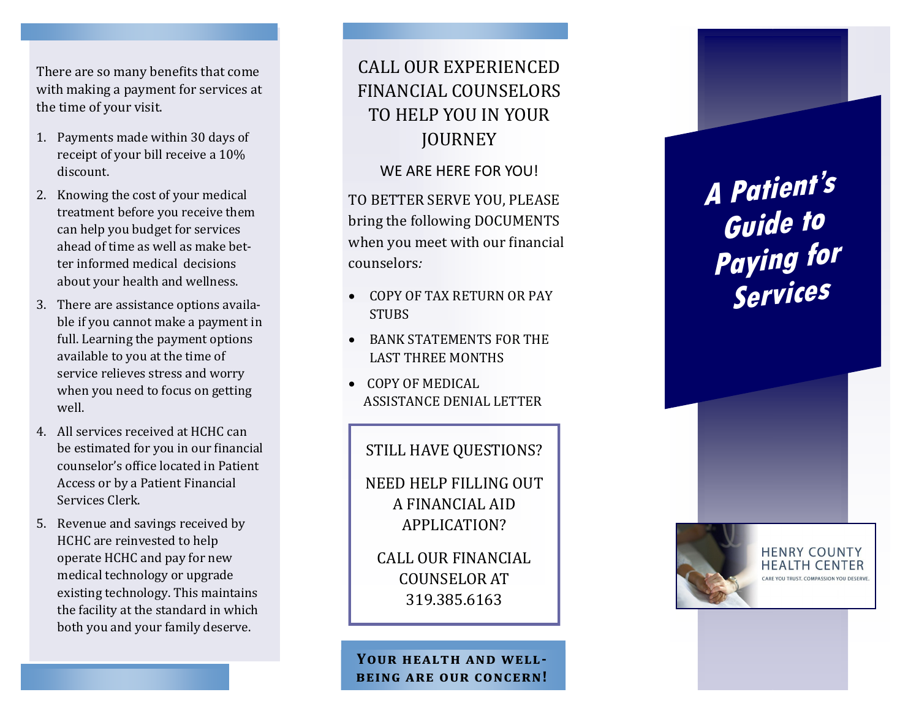There are so many benefits that come with making a payment for services at the time of your visit.

- 1. Payments made within 30 days of receipt of your bill receive a 10% discount.
- 2. Knowing the cost of your medical treatment before you receive them can help you budget for services ahead of time as well as make better informed medical decisions about your health and wellness.
- 3. There are assistance options available if you cannot make a payment in full. Learning the payment options available to you at the time of service relieves stress and worry when you need to focus on getting well.
- 4. All services received at HCHC can be estimated for you in our financial counselor's office located in Patient Access or by a Patient Financial Services Clerk.
- 5. Revenue and savings received by HCHC are reinvested to help operate HCHC and pay for new medical technology or upgrade existing technology. This maintains the facility at the standard in which both you and your family deserve.

# CALL OUR EXPERIENCED FINANCIAL COUNSELORS TO HELP YOU IN YOUR **JOURNEY**

WE ARE HERE FOR YOU!

TO BETTER SERVE YOU, PLEASE bring the following DOCUMENTS when you meet with our financial counselors*:* 

- COPY OF TAX RETURN OR PAY **STUBS**
- BANK STATEMENTS FOR THE LAST THREE MONTHS
- COPY OF MEDICAL ASSISTANCE DENIAL LETTER

## STILL HAVE QUESTIONS?

NEED HELP FILLING OUT A FINANCIAL AID APPLICATION?

CALL OUR FINANCIAL COUNSELOR AT 319.385.6163

**Your health and well being are our concern!** **A Patient's Guide to Paying for Services**